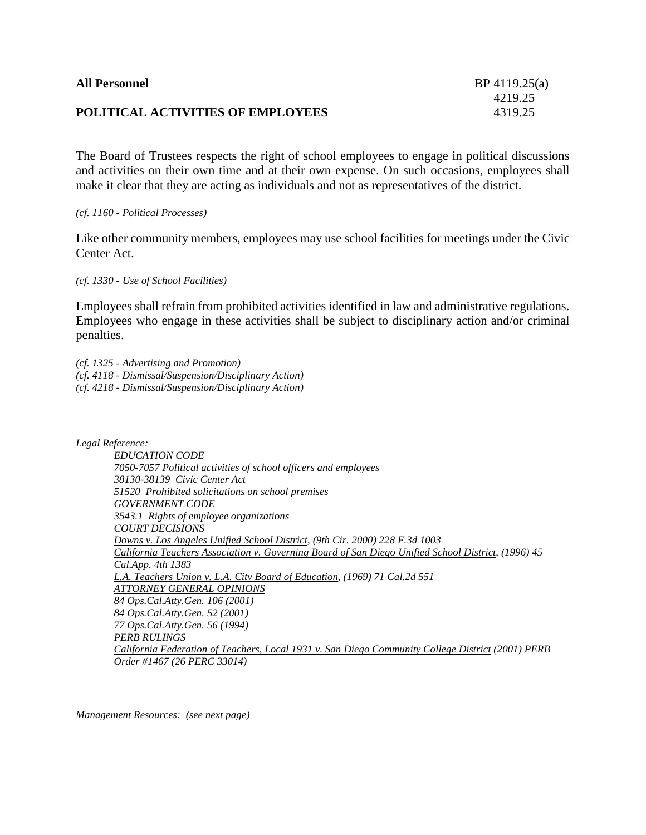| <b>All Personnel</b>                     | $BP$ 4119.25(a) |
|------------------------------------------|-----------------|
|                                          | 4219.25         |
| <b>POLITICAL ACTIVITIES OF EMPLOYEES</b> | 4319.25         |

The Board of Trustees respects the right of school employees to engage in political discussions and activities on their own time and at their own expense. On such occasions, employees shall make it clear that they are acting as individuals and not as representatives of the district.

*(cf. 1160 - Political Processes)*

Like other community members, employees may use school facilities for meetings under the Civic Center Act.

*(cf. 1330 - Use of School Facilities)*

Employees shall refrain from prohibited activities identified in law and administrative regulations. Employees who engage in these activities shall be subject to disciplinary action and/or criminal penalties.

*(cf. 1325 - Advertising and Promotion) (cf. 4118 - Dismissal/Suspension/Disciplinary Action) (cf. 4218 - Dismissal/Suspension/Disciplinary Action)*

*Legal Reference:*

*EDUCATION CODE 7050-7057 Political activities of school officers and employees 38130-38139 Civic Center Act 51520 Prohibited solicitations on school premises GOVERNMENT CODE 3543.1 Rights of employee organizations COURT DECISIONS Downs v. Los Angeles Unified School District, (9th Cir. 2000) 228 F.3d 1003 California Teachers Association v. Governing Board of San Diego Unified School District, (1996) 45 Cal.App. 4th 1383 L.A. Teachers Union v. L.A. City Board of Education, (1969) 71 Cal.2d 551 ATTORNEY GENERAL OPINIONS 84 Ops.Cal.Atty.Gen. 106 (2001) 84 Ops.Cal.Atty.Gen. 52 (2001) 77 Ops.Cal.Atty.Gen. 56 (1994) PERB RULINGS California Federation of Teachers, Local 1931 v. San Diego Community College District (2001) PERB Order #1467 (26 PERC 33014)*

*Management Resources: (see next page)*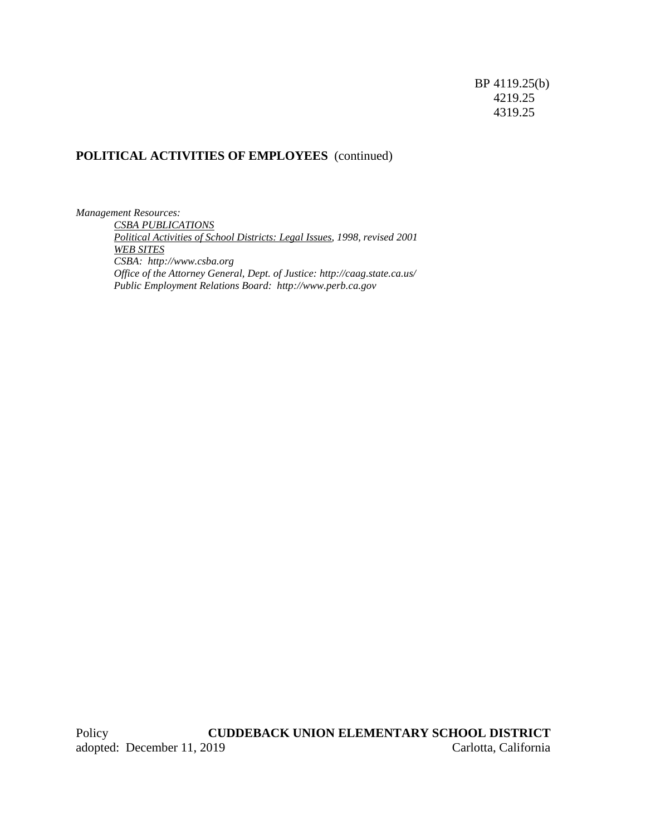# **POLITICAL ACTIVITIES OF EMPLOYEES** (continued)

*Management Resources: CSBA PUBLICATIONS Political Activities of School Districts: Legal Issues, 1998, revised 2001 WEB SITES CSBA: http://www.csba.org Office of the Attorney General, Dept. of Justice: http://caag.state.ca.us/ Public Employment Relations Board: http://www.perb.ca.gov*

Policy **CUDDEBACK UNION ELEMENTARY SCHOOL DISTRICT** adopted: December 11, 2019 Carlotta, California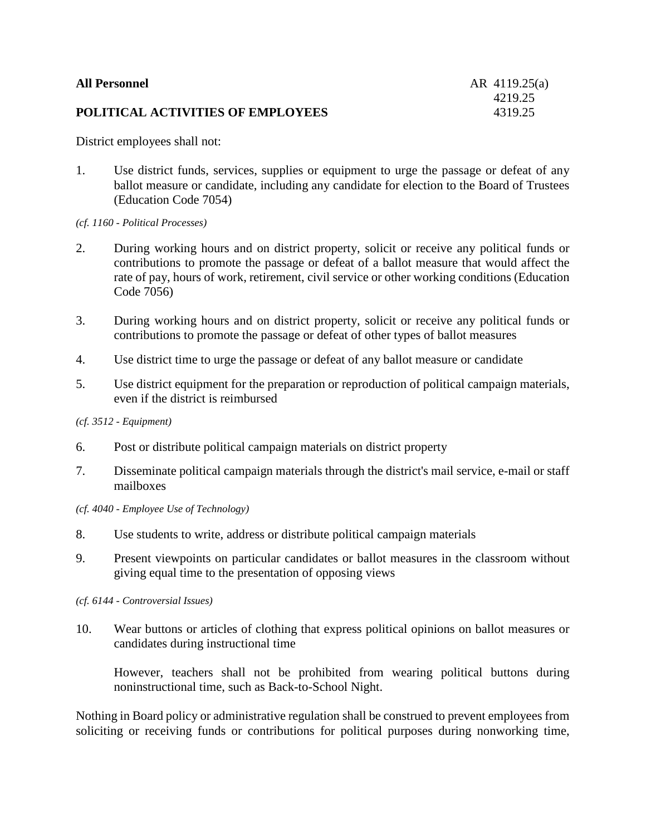| <b>All Personnel</b>              | AR 4119.25(a) |
|-----------------------------------|---------------|
|                                   | 4219.25       |
| POLITICAL ACTIVITIES OF EMPLOYEES | 4319.25       |

District employees shall not:

1. Use district funds, services, supplies or equipment to urge the passage or defeat of any ballot measure or candidate, including any candidate for election to the Board of Trustees (Education Code 7054)

### *(cf. 1160 - Political Processes)*

- 2. During working hours and on district property, solicit or receive any political funds or contributions to promote the passage or defeat of a ballot measure that would affect the rate of pay, hours of work, retirement, civil service or other working conditions (Education Code 7056)
- 3. During working hours and on district property, solicit or receive any political funds or contributions to promote the passage or defeat of other types of ballot measures
- 4. Use district time to urge the passage or defeat of any ballot measure or candidate
- 5. Use district equipment for the preparation or reproduction of political campaign materials, even if the district is reimbursed

## *(cf. 3512 - Equipment)*

- 6. Post or distribute political campaign materials on district property
- 7. Disseminate political campaign materials through the district's mail service, e-mail or staff mailboxes
- *(cf. 4040 - Employee Use of Technology)*
- 8. Use students to write, address or distribute political campaign materials
- 9. Present viewpoints on particular candidates or ballot measures in the classroom without giving equal time to the presentation of opposing views

*(cf. 6144 - Controversial Issues)*

10. Wear buttons or articles of clothing that express political opinions on ballot measures or candidates during instructional time

However, teachers shall not be prohibited from wearing political buttons during noninstructional time, such as Back-to-School Night.

Nothing in Board policy or administrative regulation shall be construed to prevent employees from soliciting or receiving funds or contributions for political purposes during nonworking time,